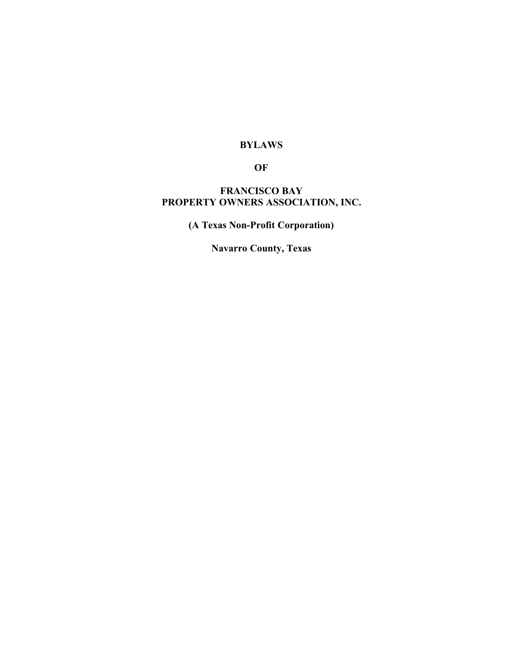# **BYLAWS**

**OF**

# **FRANCISCO BAY PROPERTY OWNERS ASSOCIATION, INC.**

**(A Texas Non-Profit Corporation)**

**Navarro County, Texas**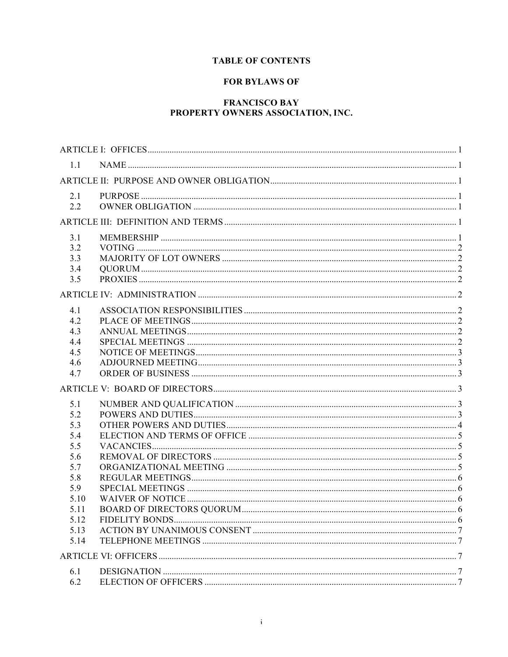# **TABLE OF CONTENTS**

# **FOR BYLAWS OF**

# **FRANCISCO BAY** PROPERTY OWNERS ASSOCIATION, INC.

| 1.1          |  |  |  |  |
|--------------|--|--|--|--|
|              |  |  |  |  |
| 2.1          |  |  |  |  |
| 2.2          |  |  |  |  |
|              |  |  |  |  |
| 3.1          |  |  |  |  |
| 3.2          |  |  |  |  |
| 3.3          |  |  |  |  |
| 3.4<br>3.5   |  |  |  |  |
|              |  |  |  |  |
|              |  |  |  |  |
| 4.1          |  |  |  |  |
| 4.2          |  |  |  |  |
| 4.3          |  |  |  |  |
| 4.4<br>4.5   |  |  |  |  |
| 4.6          |  |  |  |  |
| 4.7          |  |  |  |  |
|              |  |  |  |  |
| 5.1          |  |  |  |  |
| 5.2          |  |  |  |  |
| 5.3          |  |  |  |  |
| 5.4          |  |  |  |  |
| 5.5          |  |  |  |  |
| 5.6          |  |  |  |  |
| 5.7          |  |  |  |  |
| 5.8          |  |  |  |  |
| 5.9          |  |  |  |  |
| 5.10<br>5.11 |  |  |  |  |
| 5.12         |  |  |  |  |
| 5.13         |  |  |  |  |
| 5.14         |  |  |  |  |
|              |  |  |  |  |
| 6.1          |  |  |  |  |
| 6.2          |  |  |  |  |
|              |  |  |  |  |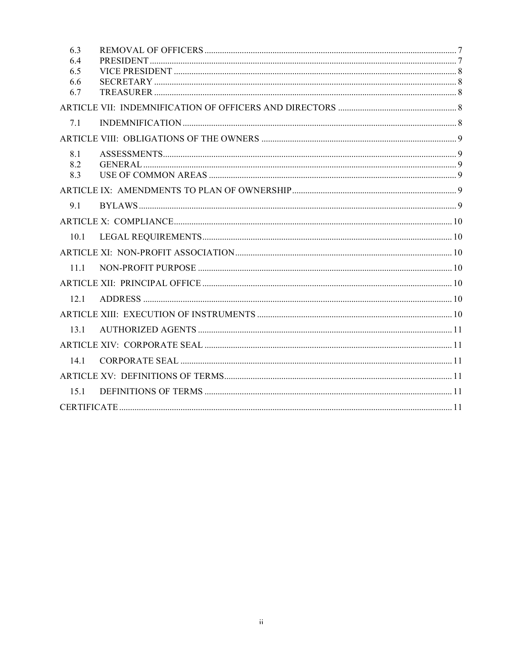| 6.3        |  |
|------------|--|
| 6.4<br>6.5 |  |
| 6.6        |  |
| 6.7        |  |
|            |  |
| 7.1        |  |
|            |  |
| 8.1        |  |
| 8.2        |  |
| 8.3        |  |
|            |  |
| 91         |  |
|            |  |
| 101        |  |
|            |  |
| 11.1       |  |
|            |  |
| 12.1       |  |
|            |  |
| 131        |  |
|            |  |
| 14.1       |  |
|            |  |
| 151        |  |
|            |  |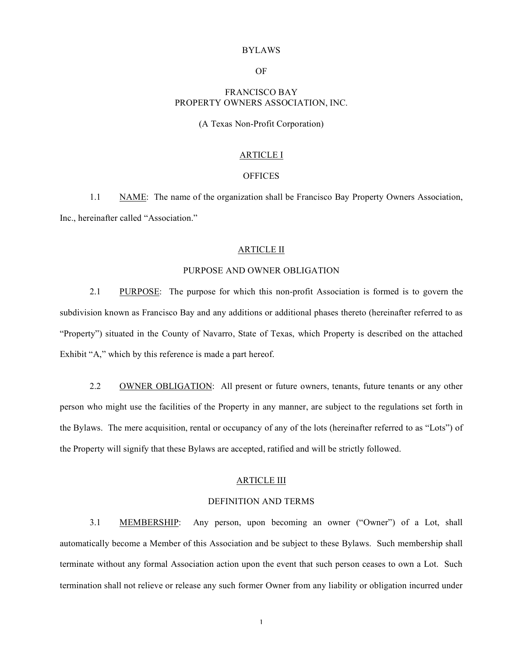### BYLAWS

OF

# FRANCISCO BAY PROPERTY OWNERS ASSOCIATION, INC.

## (A Texas Non-Profit Corporation)

# ARTICLE I

#### **OFFICES**

1.1 NAME: The name of the organization shall be Francisco Bay Property Owners Association, Inc., hereinafter called "Association."

#### ARTICLE II

## PURPOSE AND OWNER OBLIGATION

2.1 PURPOSE: The purpose for which this non-profit Association is formed is to govern the subdivision known as Francisco Bay and any additions or additional phases thereto (hereinafter referred to as "Property") situated in the County of Navarro, State of Texas, which Property is described on the attached Exhibit "A," which by this reference is made a part hereof.

2.2 OWNER OBLIGATION: All present or future owners, tenants, future tenants or any other person who might use the facilities of the Property in any manner, are subject to the regulations set forth in the Bylaws. The mere acquisition, rental or occupancy of any of the lots (hereinafter referred to as "Lots") of the Property will signify that these Bylaws are accepted, ratified and will be strictly followed.

# ARTICLE III

## DEFINITION AND TERMS

3.1 MEMBERSHIP: Any person, upon becoming an owner ("Owner") of a Lot, shall automatically become a Member of this Association and be subject to these Bylaws. Such membership shall terminate without any formal Association action upon the event that such person ceases to own a Lot. Such termination shall not relieve or release any such former Owner from any liability or obligation incurred under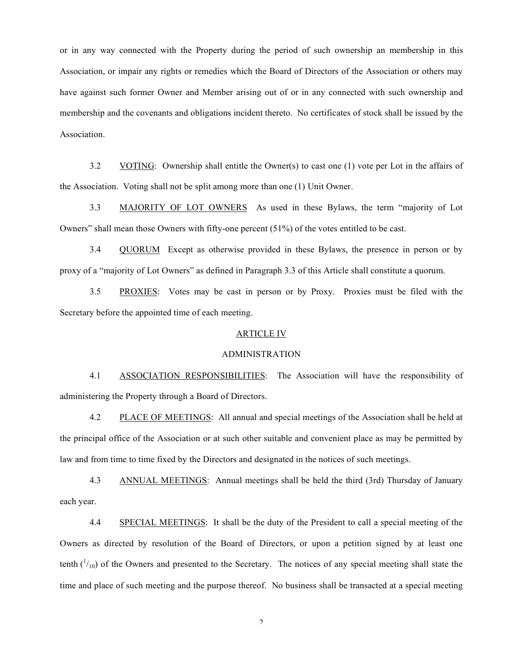or in any way connected with the Property during the period of such ownership an membership in this Association, or impair any rights or remedies which the Board of Directors of the Association or others may have against such former Owner and Member arising out of or in any connected with such ownership and membership and the covenants and obligations incident thereto. No certificates of stock shall be issued by the Association.

3.2 VOTING: Ownership shall entitle the Owner(s) to cast one (1) vote per Lot in the affairs of the Association. Voting shall not be split among more than one (1) Unit Owner.

3.3 MAJORITY OF LOT OWNERS As used in these Bylaws, the term "majority of Lot Owners" shall mean those Owners with fifty-one percent (51%) of the votes entitled to be cast.

3.4 QUORUM Except as otherwise provided in these Bylaws, the presence in person or by proxy of a "majority of Lot Owners" as defined in Paragraph 3.3 of this Article shall constitute a quorum.

3.5 PROXIES: Votes may be cast in person or by Proxy. Proxies must be filed with the Secretary before the appointed time of each meeting.

# ARTICLE IV

#### ADMINISTRATION

4.1 ASSOCIATION RESPONSIBILITIES: The Association will have the responsibility of administering the Property through a Board of Directors.

4.2 PLACE OF MEETINGS: All annual and special meetings of the Association shall be held at the principal office of the Association or at such other suitable and convenient place as may be permitted by law and from time to time fixed by the Directors and designated in the notices of such meetings.

4.3 ANNUAL MEETINGS: Annual meetings shall be held the third (3rd) Thursday of January each year.

4.4 SPECIAL MEETINGS: It shall be the duty of the President to call a special meeting of the Owners as directed by resolution of the Board of Directors, or upon a petition signed by at least one tenth  $\binom{1}{10}$  of the Owners and presented to the Secretary. The notices of any special meeting shall state the time and place of such meeting and the purpose thereof. No business shall be transacted at a special meeting

 $\mathfrak{D}$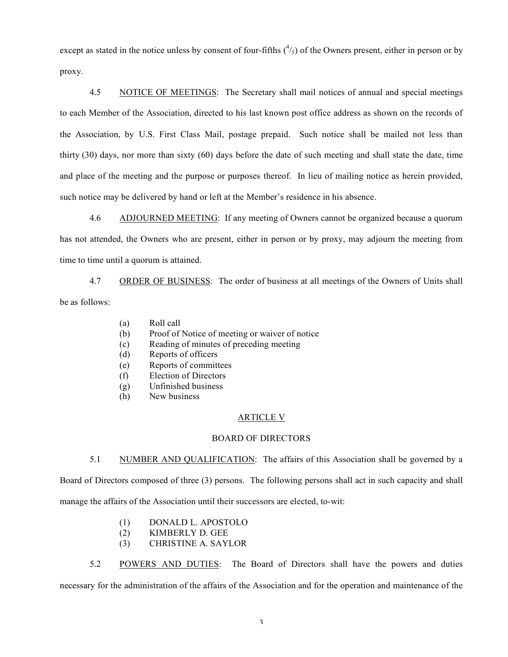except as stated in the notice unless by consent of four-fifths  $(^4/_5)$  of the Owners present, either in person or by proxy.

4.5 NOTICE OF MEETINGS: The Secretary shall mail notices of annual and special meetings to each Member of the Association, directed to his last known post office address as shown on the records of the Association, by U.S. First Class Mail, postage prepaid. Such notice shall be mailed not less than thirty (30) days, nor more than sixty (60) days before the date of such meeting and shall state the date, time and place of the meeting and the purpose or purposes thereof. In lieu of mailing notice as herein provided, such notice may be delivered by hand or left at the Member's residence in his absence.

4.6 ADJOURNED MEETING: If any meeting of Owners cannot be organized because a quorum has not attended, the Owners who are present, either in person or by proxy, may adjourn the meeting from time to time until a quorum is attained.

4.7 ORDER OF BUSINESS: The order of business at all meetings of the Owners of Units shall be as follows:

- (a) Roll call
- (b) Proof of Notice of meeting or waiver of notice
- (c) Reading of minutes of preceding meeting
- (d) Reports of officers
- (e) Reports of committees
- (f) Election of Directors
- (g) Unfinished business
- (h) New business

# ARTICLE V

# BOARD OF DIRECTORS

5.1 NUMBER AND QUALIFICATION: The affairs of this Association shall be governed by a Board of Directors composed of three (3) persons. The following persons shall act in such capacity and shall manage the affairs of the Association until their successors are elected, to-wit:

- (1) DONALD L. APOSTOLO
- (2) KIMBERLY D. GEE
- (3) CHRISTINE A. SAYLOR

5.2 POWERS AND DUTIES: The Board of Directors shall have the powers and duties necessary for the administration of the affairs of the Association and for the operation and maintenance of the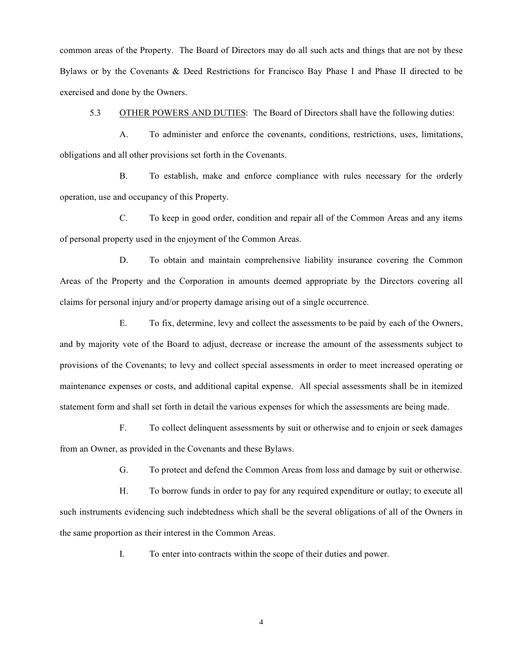common areas of the Property. The Board of Directors may do all such acts and things that are not by these Bylaws or by the Covenants & Deed Restrictions for Francisco Bay Phase I and Phase II directed to be exercised and done by the Owners.

5.3 OTHER POWERS AND DUTIES: The Board of Directors shall have the following duties:

A. To administer and enforce the covenants, conditions, restrictions, uses, limitations, obligations and all other provisions set forth in the Covenants.

B. To establish, make and enforce compliance with rules necessary for the orderly operation, use and occupancy of this Property.

C. To keep in good order, condition and repair all of the Common Areas and any items of personal property used in the enjoyment of the Common Areas.

D. To obtain and maintain comprehensive liability insurance covering the Common Areas of the Property and the Corporation in amounts deemed appropriate by the Directors covering all claims for personal injury and/or property damage arising out of a single occurrence.

E. To fix, determine, levy and collect the assessments to be paid by each of the Owners, and by majority vote of the Board to adjust, decrease or increase the amount of the assessments subject to provisions of the Covenants; to levy and collect special assessments in order to meet increased operating or maintenance expenses or costs, and additional capital expense. All special assessments shall be in itemized statement form and shall set forth in detail the various expenses for which the assessments are being made.

F. To collect delinquent assessments by suit or otherwise and to enjoin or seek damages from an Owner, as provided in the Covenants and these Bylaws.

G. To protect and defend the Common Areas from loss and damage by suit or otherwise.

H. To borrow funds in order to pay for any required expenditure or outlay; to execute all such instruments evidencing such indebtedness which shall be the several obligations of all of the Owners in the same proportion as their interest in the Common Areas.

I. To enter into contracts within the scope of their duties and power.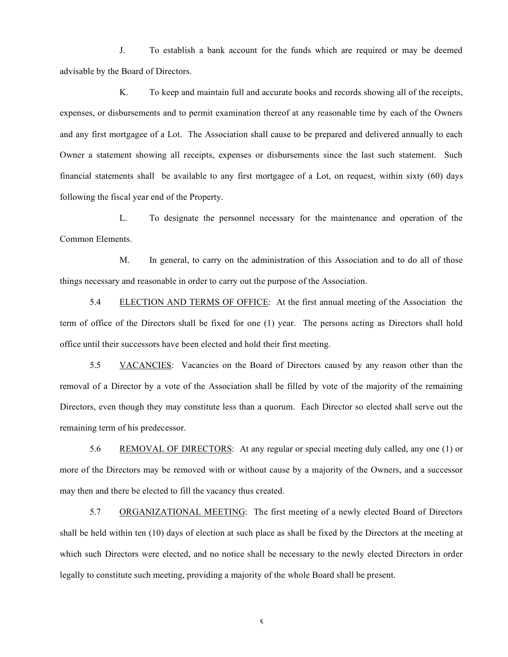J. To establish a bank account for the funds which are required or may be deemed advisable by the Board of Directors.

K. To keep and maintain full and accurate books and records showing all of the receipts, expenses, or disbursements and to permit examination thereof at any reasonable time by each of the Owners and any first mortgagee of a Lot. The Association shall cause to be prepared and delivered annually to each Owner a statement showing all receipts, expenses or disbursements since the last such statement. Such financial statements shall be available to any first mortgagee of a Lot, on request, within sixty (60) days following the fiscal year end of the Property.

L. To designate the personnel necessary for the maintenance and operation of the Common Elements.

M. In general, to carry on the administration of this Association and to do all of those things necessary and reasonable in order to carry out the purpose of the Association.

5.4 ELECTION AND TERMS OF OFFICE: At the first annual meeting of the Association the term of office of the Directors shall be fixed for one (1) year. The persons acting as Directors shall hold office until their successors have been elected and hold their first meeting.

5.5 VACANCIES: Vacancies on the Board of Directors caused by any reason other than the removal of a Director by a vote of the Association shall be filled by vote of the majority of the remaining Directors, even though they may constitute less than a quorum. Each Director so elected shall serve out the remaining term of his predecessor.

5.6 REMOVAL OF DIRECTORS: At any regular or special meeting duly called, any one (1) or more of the Directors may be removed with or without cause by a majority of the Owners, and a successor may then and there be elected to fill the vacancy thus created.

5.7 ORGANIZATIONAL MEETING: The first meeting of a newly elected Board of Directors shall be held within ten (10) days of election at such place as shall be fixed by the Directors at the meeting at which such Directors were elected, and no notice shall be necessary to the newly elected Directors in order legally to constitute such meeting, providing a majority of the whole Board shall be present.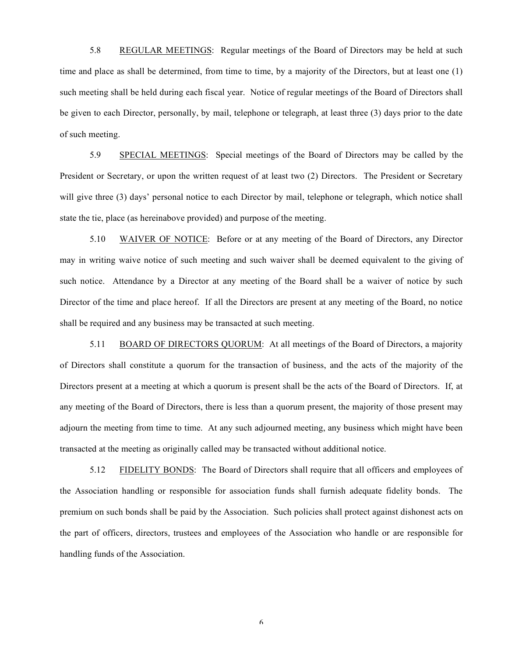5.8 REGULAR MEETINGS: Regular meetings of the Board of Directors may be held at such time and place as shall be determined, from time to time, by a majority of the Directors, but at least one (1) such meeting shall be held during each fiscal year. Notice of regular meetings of the Board of Directors shall be given to each Director, personally, by mail, telephone or telegraph, at least three (3) days prior to the date of such meeting.

5.9 SPECIAL MEETINGS: Special meetings of the Board of Directors may be called by the President or Secretary, or upon the written request of at least two (2) Directors. The President or Secretary will give three (3) days' personal notice to each Director by mail, telephone or telegraph, which notice shall state the tie, place (as hereinabove provided) and purpose of the meeting.

5.10 WAIVER OF NOTICE: Before or at any meeting of the Board of Directors, any Director may in writing waive notice of such meeting and such waiver shall be deemed equivalent to the giving of such notice. Attendance by a Director at any meeting of the Board shall be a waiver of notice by such Director of the time and place hereof. If all the Directors are present at any meeting of the Board, no notice shall be required and any business may be transacted at such meeting.

5.11 BOARD OF DIRECTORS QUORUM: At all meetings of the Board of Directors, a majority of Directors shall constitute a quorum for the transaction of business, and the acts of the majority of the Directors present at a meeting at which a quorum is present shall be the acts of the Board of Directors. If, at any meeting of the Board of Directors, there is less than a quorum present, the majority of those present may adjourn the meeting from time to time. At any such adjourned meeting, any business which might have been transacted at the meeting as originally called may be transacted without additional notice.

5.12 FIDELITY BONDS: The Board of Directors shall require that all officers and employees of the Association handling or responsible for association funds shall furnish adequate fidelity bonds. The premium on such bonds shall be paid by the Association. Such policies shall protect against dishonest acts on the part of officers, directors, trustees and employees of the Association who handle or are responsible for handling funds of the Association.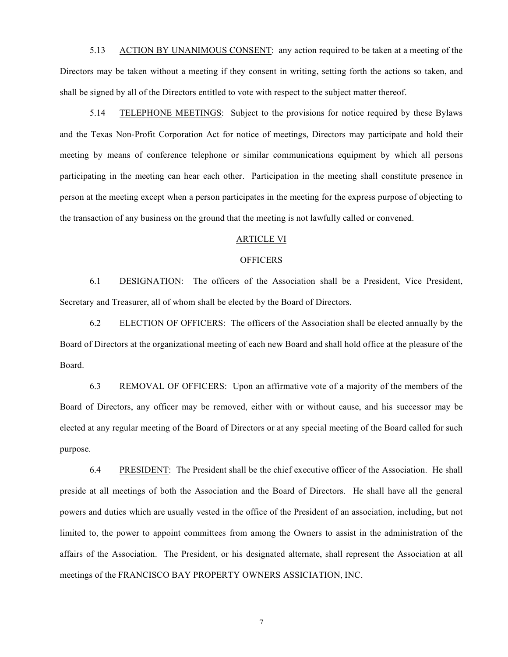5.13 ACTION BY UNANIMOUS CONSENT: any action required to be taken at a meeting of the Directors may be taken without a meeting if they consent in writing, setting forth the actions so taken, and shall be signed by all of the Directors entitled to vote with respect to the subject matter thereof.

5.14 TELEPHONE MEETINGS: Subject to the provisions for notice required by these Bylaws and the Texas Non-Profit Corporation Act for notice of meetings, Directors may participate and hold their meeting by means of conference telephone or similar communications equipment by which all persons participating in the meeting can hear each other. Participation in the meeting shall constitute presence in person at the meeting except when a person participates in the meeting for the express purpose of objecting to the transaction of any business on the ground that the meeting is not lawfully called or convened.

## ARTICLE VI

## **OFFICERS**

6.1 DESIGNATION: The officers of the Association shall be a President, Vice President, Secretary and Treasurer, all of whom shall be elected by the Board of Directors.

6.2 ELECTION OF OFFICERS: The officers of the Association shall be elected annually by the Board of Directors at the organizational meeting of each new Board and shall hold office at the pleasure of the Board.

6.3 REMOVAL OF OFFICERS: Upon an affirmative vote of a majority of the members of the Board of Directors, any officer may be removed, either with or without cause, and his successor may be elected at any regular meeting of the Board of Directors or at any special meeting of the Board called for such purpose.

6.4 PRESIDENT: The President shall be the chief executive officer of the Association. He shall preside at all meetings of both the Association and the Board of Directors. He shall have all the general powers and duties which are usually vested in the office of the President of an association, including, but not limited to, the power to appoint committees from among the Owners to assist in the administration of the affairs of the Association. The President, or his designated alternate, shall represent the Association at all meetings of the FRANCISCO BAY PROPERTY OWNERS ASSICIATION, INC.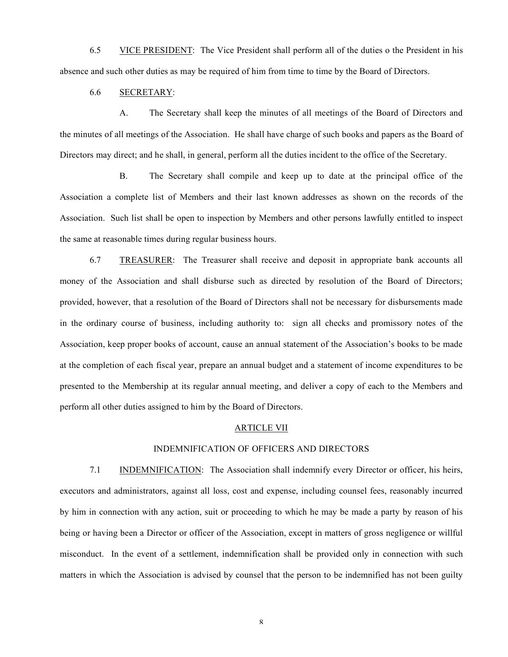6.5 VICE PRESIDENT: The Vice President shall perform all of the duties o the President in his absence and such other duties as may be required of him from time to time by the Board of Directors.

# 6.6 SECRETARY:

A. The Secretary shall keep the minutes of all meetings of the Board of Directors and the minutes of all meetings of the Association. He shall have charge of such books and papers as the Board of Directors may direct; and he shall, in general, perform all the duties incident to the office of the Secretary.

B. The Secretary shall compile and keep up to date at the principal office of the Association a complete list of Members and their last known addresses as shown on the records of the Association. Such list shall be open to inspection by Members and other persons lawfully entitled to inspect the same at reasonable times during regular business hours.

6.7 TREASURER: The Treasurer shall receive and deposit in appropriate bank accounts all money of the Association and shall disburse such as directed by resolution of the Board of Directors; provided, however, that a resolution of the Board of Directors shall not be necessary for disbursements made in the ordinary course of business, including authority to: sign all checks and promissory notes of the Association, keep proper books of account, cause an annual statement of the Association's books to be made at the completion of each fiscal year, prepare an annual budget and a statement of income expenditures to be presented to the Membership at its regular annual meeting, and deliver a copy of each to the Members and perform all other duties assigned to him by the Board of Directors.

## ARTICLE VII

## INDEMNIFICATION OF OFFICERS AND DIRECTORS

7.1 INDEMNIFICATION: The Association shall indemnify every Director or officer, his heirs, executors and administrators, against all loss, cost and expense, including counsel fees, reasonably incurred by him in connection with any action, suit or proceeding to which he may be made a party by reason of his being or having been a Director or officer of the Association, except in matters of gross negligence or willful misconduct. In the event of a settlement, indemnification shall be provided only in connection with such matters in which the Association is advised by counsel that the person to be indemnified has not been guilty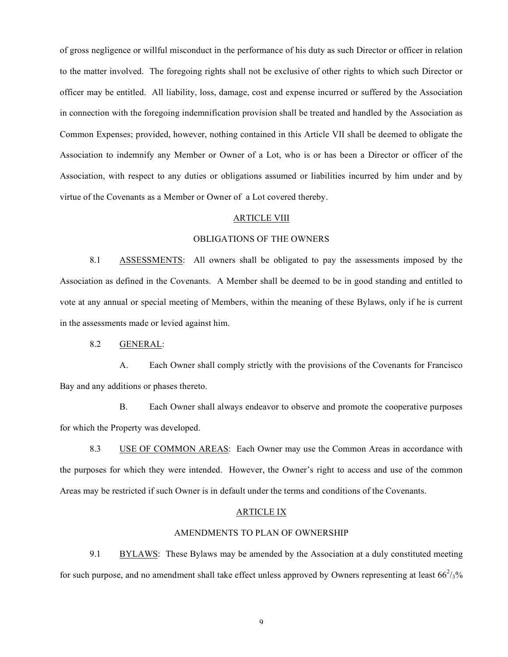of gross negligence or willful misconduct in the performance of his duty as such Director or officer in relation to the matter involved. The foregoing rights shall not be exclusive of other rights to which such Director or officer may be entitled. All liability, loss, damage, cost and expense incurred or suffered by the Association in connection with the foregoing indemnification provision shall be treated and handled by the Association as Common Expenses; provided, however, nothing contained in this Article VII shall be deemed to obligate the Association to indemnify any Member or Owner of a Lot, who is or has been a Director or officer of the Association, with respect to any duties or obligations assumed or liabilities incurred by him under and by virtue of the Covenants as a Member or Owner of a Lot covered thereby.

### ARTICLE VIII

## OBLIGATIONS OF THE OWNERS

8.1 ASSESSMENTS: All owners shall be obligated to pay the assessments imposed by the Association as defined in the Covenants. A Member shall be deemed to be in good standing and entitled to vote at any annual or special meeting of Members, within the meaning of these Bylaws, only if he is current in the assessments made or levied against him.

# 8.2 GENERAL:

A. Each Owner shall comply strictly with the provisions of the Covenants for Francisco Bay and any additions or phases thereto.

B. Each Owner shall always endeavor to observe and promote the cooperative purposes for which the Property was developed.

8.3 USE OF COMMON AREAS: Each Owner may use the Common Areas in accordance with the purposes for which they were intended. However, the Owner's right to access and use of the common Areas may be restricted if such Owner is in default under the terms and conditions of the Covenants.

### ARTICLE IX

#### AMENDMENTS TO PLAN OF OWNERSHIP

9.1 BYLAWS: These Bylaws may be amended by the Association at a duly constituted meeting for such purpose, and no amendment shall take effect unless approved by Owners representing at least  $66^2/3\%$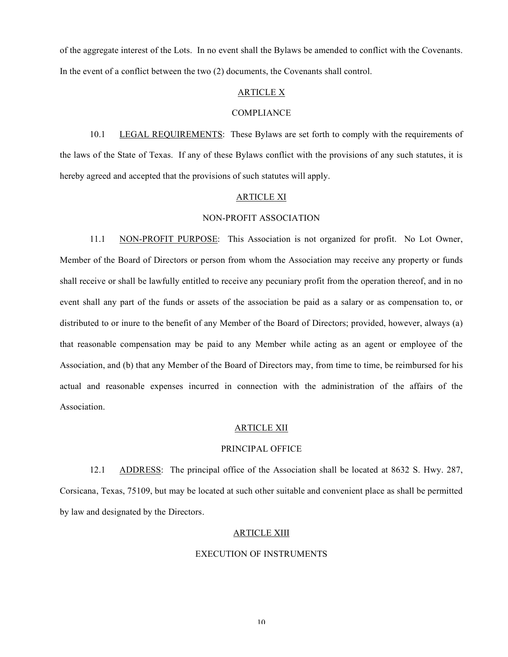of the aggregate interest of the Lots. In no event shall the Bylaws be amended to conflict with the Covenants. In the event of a conflict between the two (2) documents, the Covenants shall control.

#### ARTICLE X

#### COMPLIANCE

10.1 LEGAL REQUIREMENTS: These Bylaws are set forth to comply with the requirements of the laws of the State of Texas. If any of these Bylaws conflict with the provisions of any such statutes, it is hereby agreed and accepted that the provisions of such statutes will apply.

#### ARTICLE XI

#### NON-PROFIT ASSOCIATION

11.1 NON-PROFIT PURPOSE: This Association is not organized for profit. No Lot Owner, Member of the Board of Directors or person from whom the Association may receive any property or funds shall receive or shall be lawfully entitled to receive any pecuniary profit from the operation thereof, and in no event shall any part of the funds or assets of the association be paid as a salary or as compensation to, or distributed to or inure to the benefit of any Member of the Board of Directors; provided, however, always (a) that reasonable compensation may be paid to any Member while acting as an agent or employee of the Association, and (b) that any Member of the Board of Directors may, from time to time, be reimbursed for his actual and reasonable expenses incurred in connection with the administration of the affairs of the Association.

#### ARTICLE XII

#### PRINCIPAL OFFICE

12.1 ADDRESS: The principal office of the Association shall be located at 8632 S. Hwy. 287, Corsicana, Texas, 75109, but may be located at such other suitable and convenient place as shall be permitted by law and designated by the Directors.

### ARTICLE XIII

#### EXECUTION OF INSTRUMENTS